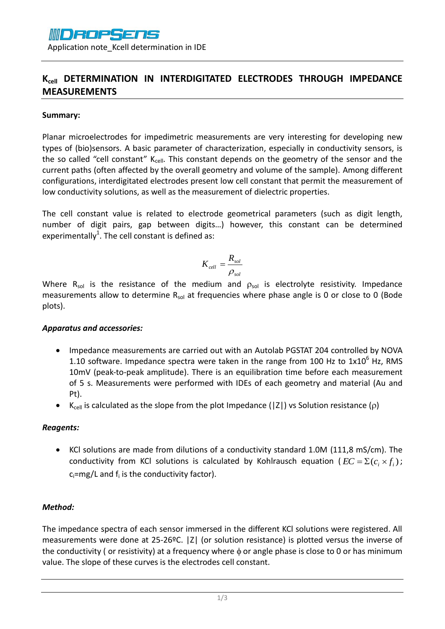

Application note\_Kcell determination in IDE

## **Kcell DETERMINATION IN INTERDIGITATED ELECTRODES THROUGH IMPEDANCE MEASUREMENTS**

#### **Summary:**

Planar microelectrodes for impedimetric measurements are very interesting for developing new types of (bio)sensors. A basic parameter of characterization, especially in conductivity sensors, is the so called "cell constant"  $K_{cell}$ . This constant depends on the geometry of the sensor and the current paths (often affected by the overall geometry and volume of the sample). Among different configurations, interdigitated electrodes present low cell constant that permit the measurement of low conductivity solutions, as well as the measurement of dielectric properties.

The cell constant value is related to electrode geometrical parameters (such as digit length, number of digit pairs, gap between digits…) however, this constant can be determined experimentally<sup>1</sup>. The cell constant is defined as:

$$
K_{cell} = \frac{R_{sol}}{\rho_{sol}}
$$

Where  $R_{sol}$  is the resistance of the medium and  $\rho_{sol}$  is electrolyte resistivity. Impedance measurements allow to determine  $R_{sol}$  at frequencies where phase angle is 0 or close to 0 (Bode plots).

### *Apparatus and accessories:*

- Impedance measurements are carried out with an Autolab PGSTAT 204 controlled by NOVA 1.10 software. Impedance spectra were taken in the range from 100 Hz to  $1x10^6$  Hz, RMS 10mV (peak-to-peak amplitude). There is an equilibration time before each measurement of 5 s. Measurements were performed with IDEs of each geometry and material (Au and Pt).
- K<sub>cell</sub> is calculated as the slope from the plot Impedance (|Z|) vs Solution resistance ( $\rho$ )

### *Reagents:*

 KCl solutions are made from dilutions of a conductivity standard 1.0M (111,8 mS/cm). The conductivity from KCl solutions is calculated by Kohlrausch equation ( $EC = \sum (c_i \times f_i)$ ;  $c_i$ =mg/L and  $f_i$  is the conductivity factor).

### *Method:*

The impedance spectra of each sensor immersed in the different KCl solutions were registered. All measurements were done at 25-26ºC. |Z| (or solution resistance) is plotted versus the inverse of the conductivity ( or resistivity) at a frequency where  $\phi$  or angle phase is close to 0 or has minimum value. The slope of these curves is the electrodes cell constant.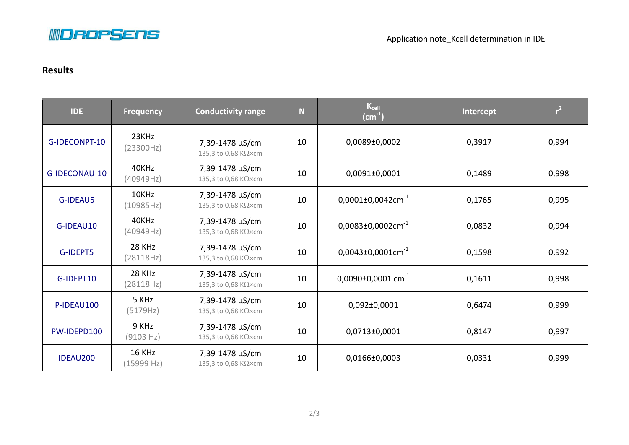

# **Results**

| <b>IDE</b>      | <b>Frequency</b>            | <b>Conductivity range</b>              | $\mathbf N$ | $K_{cell}$<br>(cm $^{\text{-1}}$ ) | Intercept | r <sup>2</sup> |
|-----------------|-----------------------------|----------------------------------------|-------------|------------------------------------|-----------|----------------|
| G-IDECONPT-10   | 23KHz<br>(23300Hz)          | 7,39-1478 µS/cm<br>135,3 to 0,68 KΩ×cm | 10          | $0,0089\pm0,0002$                  | 0,3917    | 0,994          |
| G-IDECONAU-10   | 40KHz<br>(40949Hz)          | 7,39-1478 µS/cm<br>135,3 to 0,68 KΩ×cm | 10          | $0,0091\pm0,0001$                  | 0,1489    | 0,998          |
| <b>G-IDEAU5</b> | 10KHz<br>(10985Hz)          | 7,39-1478 µS/cm<br>135,3 to 0,68 KΩ×cm | 10          | $0,0001\pm0,0042$ cm <sup>-1</sup> | 0,1765    | 0,995          |
| G-IDEAU10       | 40KHz<br>(40949Hz)          | 7,39-1478 µS/cm<br>135,3 to 0,68 KΩ×cm | 10          | $0,0083\pm0,0002$ cm <sup>-1</sup> | 0,0832    | 0,994          |
| G-IDEPT5        | <b>28 KHz</b><br>(28118Hz)  | 7,39-1478 µS/cm<br>135,3 to 0,68 KΩ×cm | 10          | $0,0043\pm0,0001$ cm <sup>-1</sup> | 0,1598    | 0,992          |
| G-IDEPT10       | 28 KHz<br>(28118Hz)         | 7,39-1478 µS/cm<br>135,3 to 0,68 KΩ×cm | 10          | 0,0090±0,0001 $cm^{-1}$            | 0,1611    | 0,998          |
| P-IDEAU100      | 5 KHz<br>(5179Hz)           | 7,39-1478 µS/cm<br>135,3 to 0,68 KΩ×cm | 10          | $0,092\pm0,0001$                   | 0,6474    | 0,999          |
| PW-IDEPD100     | 9 KHz<br>(9103 Hz)          | 7,39-1478 µS/cm<br>135,3 to 0,68 KΩ×cm | 10          | $0,0713\pm0,0001$                  | 0,8147    | 0,997          |
| <b>IDEAU200</b> | <b>16 KHz</b><br>(15999 Hz) | 7,39-1478 µS/cm<br>135,3 to 0,68 KΩ×cm | 10          | 0,0166±0,0003                      | 0,0331    | 0,999          |